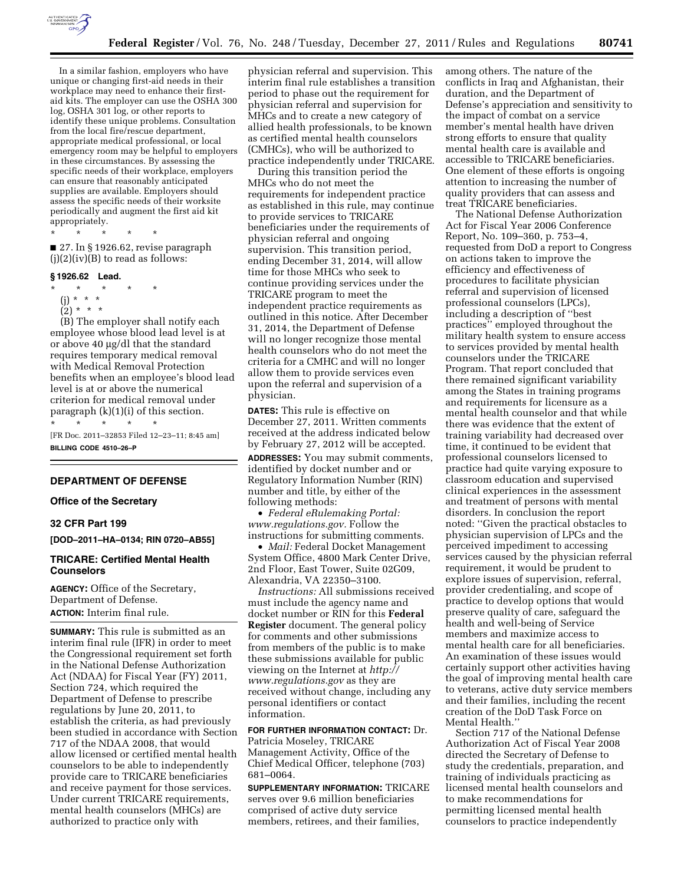

In a similar fashion, employers who have unique or changing first-aid needs in their workplace may need to enhance their firstaid kits. The employer can use the OSHA 300 log, OSHA 301 log, or other reports to identify these unique problems. Consultation from the local fire/rescue department, appropriate medical professional, or local emergency room may be helpful to employers in these circumstances. By assessing the specific needs of their workplace, employers can ensure that reasonably anticipated supplies are available. Employers should assess the specific needs of their worksite periodically and augment the first aid kit appropriately.

\* \* \* \* \*

■ 27. In § 1926.62, revise paragraph  $(j)(2)(iv)(B)$  to read as follows:

#### **§ 1926.62 Lead.**

- \* \* \* \* \*
	- (j) \* \* \*  $(2) * * * *$
	-

(B) The employer shall notify each employee whose blood lead level is at or above 40 µg/dl that the standard requires temporary medical removal with Medical Removal Protection benefits when an employee's blood lead level is at or above the numerical criterion for medical removal under paragraph (k)(1)(i) of this section. \* \* \* \* \*

[FR Doc. 2011–32853 Filed 12–23–11; 8:45 am] **BILLING CODE 4510–26–P** 

# **DEPARTMENT OF DEFENSE**

## **Office of the Secretary**

### **32 CFR Part 199**

**[DOD–2011–HA–0134; RIN 0720–AB55]** 

### **TRICARE: Certified Mental Health Counselors**

**AGENCY:** Office of the Secretary, Department of Defense. **ACTION:** Interim final rule.

**SUMMARY:** This rule is submitted as an interim final rule (IFR) in order to meet the Congressional requirement set forth in the National Defense Authorization Act (NDAA) for Fiscal Year (FY) 2011, Section 724, which required the Department of Defense to prescribe regulations by June 20, 2011, to establish the criteria, as had previously been studied in accordance with Section 717 of the NDAA 2008, that would allow licensed or certified mental health counselors to be able to independently provide care to TRICARE beneficiaries and receive payment for those services. Under current TRICARE requirements, mental health counselors (MHCs) are authorized to practice only with

physician referral and supervision. This interim final rule establishes a transition period to phase out the requirement for physician referral and supervision for MHCs and to create a new category of allied health professionals, to be known as certified mental health counselors (CMHCs), who will be authorized to practice independently under TRICARE.

During this transition period the MHCs who do not meet the requirements for independent practice as established in this rule, may continue to provide services to TRICARE beneficiaries under the requirements of physician referral and ongoing supervision. This transition period, ending December 31, 2014, will allow time for those MHCs who seek to continue providing services under the TRICARE program to meet the independent practice requirements as outlined in this notice. After December 31, 2014, the Department of Defense will no longer recognize those mental health counselors who do not meet the criteria for a CMHC and will no longer allow them to provide services even upon the referral and supervision of a physician.

**DATES:** This rule is effective on December 27, 2011. Written comments received at the address indicated below by February 27, 2012 will be accepted. **ADDRESSES:** You may submit comments, identified by docket number and or Regulatory Information Number (RIN) number and title, by either of the following methods:

• *Federal eRulemaking Portal: [www.regulations.gov.](http://www.regulations.gov)* Follow the instructions for submitting comments.

• *Mail:* Federal Docket Management System Office, 4800 Mark Center Drive, 2nd Floor, East Tower, Suite 02G09, Alexandria, VA 22350–3100.

*Instructions:* All submissions received must include the agency name and docket number or RIN for this **Federal Register** document. The general policy for comments and other submissions from members of the public is to make these submissions available for public viewing on the Internet at *[http://](http://www.regulations.gov) [www.regulations.gov](http://www.regulations.gov)* as they are received without change, including any personal identifiers or contact information.

**FOR FURTHER INFORMATION CONTACT:** Dr. Patricia Moseley, TRICARE Management Activity, Office of the Chief Medical Officer, telephone (703) 681–0064.

**SUPPLEMENTARY INFORMATION:** TRICARE serves over 9.6 million beneficiaries comprised of active duty service members, retirees, and their families,

among others. The nature of the conflicts in Iraq and Afghanistan, their duration, and the Department of Defense's appreciation and sensitivity to the impact of combat on a service member's mental health have driven strong efforts to ensure that quality mental health care is available and accessible to TRICARE beneficiaries. One element of these efforts is ongoing attention to increasing the number of quality providers that can assess and treat TRICARE beneficiaries.

The National Defense Authorization Act for Fiscal Year 2006 Conference Report, No. 109–360, p. 753–4, requested from DoD a report to Congress on actions taken to improve the efficiency and effectiveness of procedures to facilitate physician referral and supervision of licensed professional counselors (LPCs), including a description of ''best practices'' employed throughout the military health system to ensure access to services provided by mental health counselors under the TRICARE Program. That report concluded that there remained significant variability among the States in training programs and requirements for licensure as a mental health counselor and that while there was evidence that the extent of training variability had decreased over time, it continued to be evident that professional counselors licensed to practice had quite varying exposure to classroom education and supervised clinical experiences in the assessment and treatment of persons with mental disorders. In conclusion the report noted: ''Given the practical obstacles to physician supervision of LPCs and the perceived impediment to accessing services caused by the physician referral requirement, it would be prudent to explore issues of supervision, referral, provider credentialing, and scope of practice to develop options that would preserve quality of care, safeguard the health and well-being of Service members and maximize access to mental health care for all beneficiaries. An examination of these issues would certainly support other activities having the goal of improving mental health care to veterans, active duty service members and their families, including the recent creation of the DoD Task Force on Mental Health.''

Section 717 of the National Defense Authorization Act of Fiscal Year 2008 directed the Secretary of Defense to study the credentials, preparation, and training of individuals practicing as licensed mental health counselors and to make recommendations for permitting licensed mental health counselors to practice independently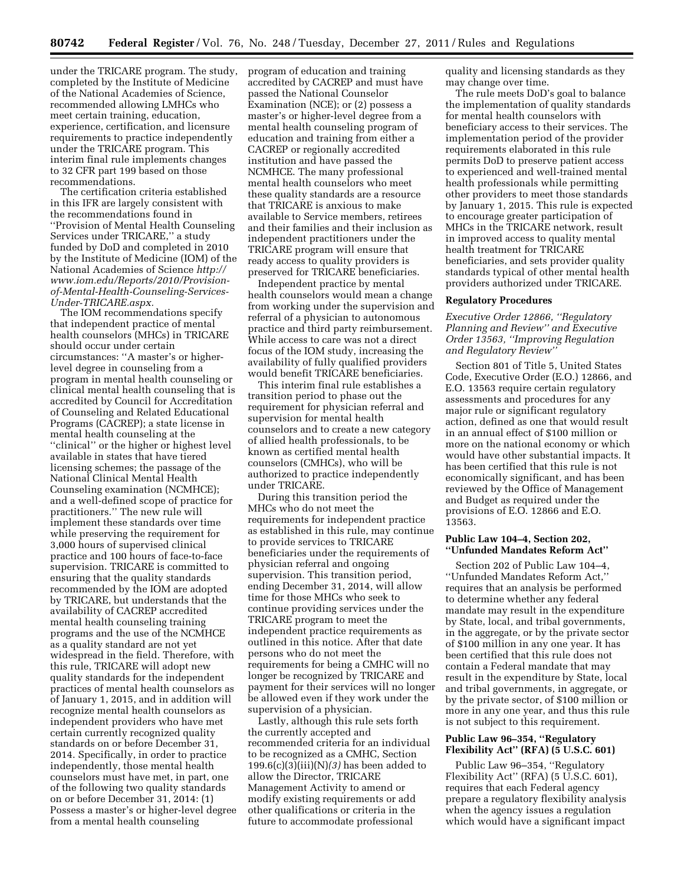under the TRICARE program. The study, completed by the Institute of Medicine of the National Academies of Science, recommended allowing LMHCs who meet certain training, education, experience, certification, and licensure requirements to practice independently under the TRICARE program. This interim final rule implements changes to 32 CFR part 199 based on those recommendations.

The certification criteria established in this IFR are largely consistent with the recommendations found in ''Provision of Mental Health Counseling Services under TRICARE,'' a study funded by DoD and completed in 2010 by the Institute of Medicine (IOM) of the National Academies of Science *[http://](http://www.iom.edu/Reports/2010/Provision-of-Mental-Health-Counseling-Services-Under-TRICARE.aspx) [www.iom.edu/Reports/2010/Provision](http://www.iom.edu/Reports/2010/Provision-of-Mental-Health-Counseling-Services-Under-TRICARE.aspx)[of-Mental-Health-Counseling-Services-](http://www.iom.edu/Reports/2010/Provision-of-Mental-Health-Counseling-Services-Under-TRICARE.aspx)[Under-TRICARE.aspx.](http://www.iom.edu/Reports/2010/Provision-of-Mental-Health-Counseling-Services-Under-TRICARE.aspx)* 

The IOM recommendations specify that independent practice of mental health counselors (MHCs) in TRICARE should occur under certain circumstances: ''A master's or higherlevel degree in counseling from a program in mental health counseling or clinical mental health counseling that is accredited by Council for Accreditation of Counseling and Related Educational Programs (CACREP); a state license in mental health counseling at the ''clinical'' or the higher or highest level available in states that have tiered licensing schemes; the passage of the National Clinical Mental Health Counseling examination (NCMHCE); and a well-defined scope of practice for practitioners.'' The new rule will implement these standards over time while preserving the requirement for 3,000 hours of supervised clinical practice and 100 hours of face-to-face supervision. TRICARE is committed to ensuring that the quality standards recommended by the IOM are adopted by TRICARE, but understands that the availability of CACREP accredited mental health counseling training programs and the use of the NCMHCE as a quality standard are not yet widespread in the field. Therefore, with this rule, TRICARE will adopt new quality standards for the independent practices of mental health counselors as of January 1, 2015, and in addition will recognize mental health counselors as independent providers who have met certain currently recognized quality standards on or before December 31, 2014. Specifically, in order to practice independently, those mental health counselors must have met, in part, one of the following two quality standards on or before December 31, 2014: (1) Possess a master's or higher-level degree from a mental health counseling

program of education and training accredited by CACREP and must have passed the National Counselor Examination (NCE); or (2) possess a master's or higher-level degree from a mental health counseling program of education and training from either a CACREP or regionally accredited institution and have passed the NCMHCE. The many professional mental health counselors who meet these quality standards are a resource that TRICARE is anxious to make available to Service members, retirees and their families and their inclusion as independent practitioners under the TRICARE program will ensure that ready access to quality providers is preserved for TRICARE beneficiaries.

Independent practice by mental health counselors would mean a change from working under the supervision and referral of a physician to autonomous practice and third party reimbursement. While access to care was not a direct focus of the IOM study, increasing the availability of fully qualified providers would benefit TRICARE beneficiaries.

This interim final rule establishes a transition period to phase out the requirement for physician referral and supervision for mental health counselors and to create a new category of allied health professionals, to be known as certified mental health counselors (CMHCs), who will be authorized to practice independently under TRICARE.

During this transition period the MHCs who do not meet the requirements for independent practice as established in this rule, may continue to provide services to TRICARE beneficiaries under the requirements of physician referral and ongoing supervision. This transition period, ending December 31, 2014, will allow time for those MHCs who seek to continue providing services under the TRICARE program to meet the independent practice requirements as outlined in this notice. After that date persons who do not meet the requirements for being a CMHC will no longer be recognized by TRICARE and payment for their services will no longer be allowed even if they work under the supervision of a physician.

Lastly, although this rule sets forth the currently accepted and recommended criteria for an individual to be recognized as a CMHC, Section 199.6(c)(3)(iii)(N)*(3)* has been added to allow the Director, TRICARE Management Activity to amend or modify existing requirements or add other qualifications or criteria in the future to accommodate professional

quality and licensing standards as they may change over time.

The rule meets DoD's goal to balance the implementation of quality standards for mental health counselors with beneficiary access to their services. The implementation period of the provider requirements elaborated in this rule permits DoD to preserve patient access to experienced and well-trained mental health professionals while permitting other providers to meet those standards by January 1, 2015. This rule is expected to encourage greater participation of MHCs in the TRICARE network, result in improved access to quality mental health treatment for TRICARE beneficiaries, and sets provider quality standards typical of other mental health providers authorized under TRICARE.

### **Regulatory Procedures**

*Executive Order 12866, ''Regulatory Planning and Review'' and Executive Order 13563, ''Improving Regulation and Regulatory Review''* 

Section 801 of Title 5, United States Code, Executive Order (E.O.) 12866, and E.O. 13563 require certain regulatory assessments and procedures for any major rule or significant regulatory action, defined as one that would result in an annual effect of \$100 million or more on the national economy or which would have other substantial impacts. It has been certified that this rule is not economically significant, and has been reviewed by the Office of Management and Budget as required under the provisions of E.O. 12866 and E.O. 13563.

## **Public Law 104–4, Section 202, ''Unfunded Mandates Reform Act''**

Section 202 of Public Law 104–4, ''Unfunded Mandates Reform Act,'' requires that an analysis be performed to determine whether any federal mandate may result in the expenditure by State, local, and tribal governments, in the aggregate, or by the private sector of \$100 million in any one year. It has been certified that this rule does not contain a Federal mandate that may result in the expenditure by State, local and tribal governments, in aggregate, or by the private sector, of \$100 million or more in any one year, and thus this rule is not subject to this requirement.

### **Public Law 96–354, ''Regulatory Flexibility Act'' (RFA) (5 U.S.C. 601)**

Public Law 96–354, ''Regulatory Flexibility Act'' (RFA) (5 U.S.C. 601), requires that each Federal agency prepare a regulatory flexibility analysis when the agency issues a regulation which would have a significant impact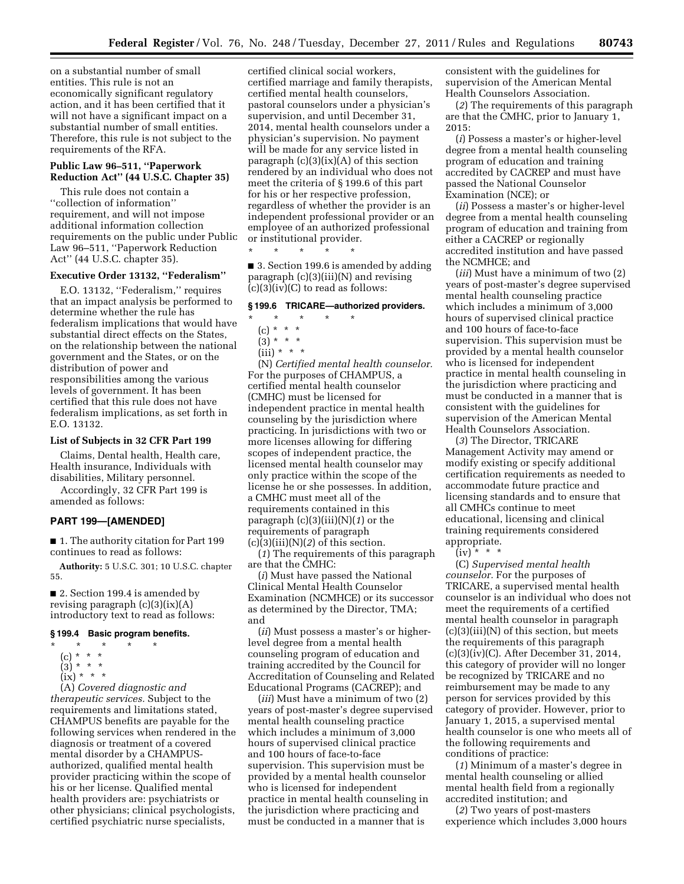on a substantial number of small entities. This rule is not an economically significant regulatory action, and it has been certified that it will not have a significant impact on a substantial number of small entities. Therefore, this rule is not subject to the requirements of the RFA.

# **Public Law 96–511, ''Paperwork Reduction Act'' (44 U.S.C. Chapter 35)**

This rule does not contain a ''collection of information'' requirement, and will not impose additional information collection requirements on the public under Public Law 96–511, ''Paperwork Reduction Act'' (44 U.S.C. chapter 35).

# **Executive Order 13132, ''Federalism''**

E.O. 13132, ''Federalism,'' requires that an impact analysis be performed to determine whether the rule has federalism implications that would have substantial direct effects on the States, on the relationship between the national government and the States, or on the distribution of power and responsibilities among the various levels of government. It has been certified that this rule does not have federalism implications, as set forth in E.O. 13132.

#### **List of Subjects in 32 CFR Part 199**

Claims, Dental health, Health care, Health insurance, Individuals with disabilities, Military personnel.

Accordingly, 32 CFR Part 199 is amended as follows:

# **PART 199—[AMENDED]**

■ 1. The authority citation for Part 199 continues to read as follows:

**Authority:** 5 U.S.C. 301; 10 U.S.C. chapter 55.

■ 2. Section 199.4 is amended by revising paragraph (c)(3)(ix)(A) introductory text to read as follows:

#### **§ 199.4 Basic program benefits.**

- \* \* \* \* \*
	- (c) \* \* \*
	- $(3) * * * *$
	- $(ix) * * * *$

(A) *Covered diagnostic and therapeutic services.* Subject to the requirements and limitations stated, CHAMPUS benefits are payable for the following services when rendered in the diagnosis or treatment of a covered mental disorder by a CHAMPUSauthorized, qualified mental health provider practicing within the scope of his or her license. Qualified mental health providers are: psychiatrists or other physicians; clinical psychologists, certified psychiatric nurse specialists,

certified clinical social workers, certified marriage and family therapists, certified mental health counselors, pastoral counselors under a physician's supervision, and until December 31, 2014, mental health counselors under a physician's supervision. No payment will be made for any service listed in paragraph  $(c)(3)(ix)(A)$  of this section rendered by an individual who does not meet the criteria of § 199.6 of this part for his or her respective profession, regardless of whether the provider is an independent professional provider or an employee of an authorized professional or institutional provider.

■ 3. Section 199.6 is amended by adding paragraph (c)(3)(iii)(N) and revising  $(c)(3)(iv)(C)$  to read as follows:

# **§ 199.6 TRICARE—authorized providers.**

 $\star$   $\star$   $\star$ 

\* \* \* \* \*

- $(c) * * * *$
- $(3) * * * *$
- $(iii) * * * *$

(N) *Certified mental health counselor.*  For the purposes of CHAMPUS, a certified mental health counselor (CMHC) must be licensed for independent practice in mental health counseling by the jurisdiction where practicing. In jurisdictions with two or more licenses allowing for differing scopes of independent practice, the licensed mental health counselor may only practice within the scope of the license he or she possesses. In addition, a CMHC must meet all of the requirements contained in this paragraph (c)(3)(iii)(N)(*1*) or the requirements of paragraph  $(c)(3)(iii)(N)(2)$  of this section.

(*1*) The requirements of this paragraph are that the CMHC:

(*i*) Must have passed the National Clinical Mental Health Counselor Examination (NCMHCE) or its successor as determined by the Director, TMA; and

(*ii*) Must possess a master's or higherlevel degree from a mental health counseling program of education and training accredited by the Council for Accreditation of Counseling and Related Educational Programs (CACREP); and

(*iii*) Must have a minimum of two (2) years of post-master's degree supervised mental health counseling practice which includes a minimum of 3,000 hours of supervised clinical practice and 100 hours of face-to-face supervision. This supervision must be provided by a mental health counselor who is licensed for independent practice in mental health counseling in the jurisdiction where practicing and must be conducted in a manner that is

consistent with the guidelines for supervision of the American Mental Health Counselors Association.

(*2*) The requirements of this paragraph are that the CMHC, prior to January 1, 2015:

(*i*) Possess a master's or higher-level degree from a mental health counseling program of education and training accredited by CACREP and must have passed the National Counselor Examination (NCE); or

(*ii*) Possess a master's or higher-level degree from a mental health counseling program of education and training from either a CACREP or regionally accredited institution and have passed the NCMHCE; and

(*iii*) Must have a minimum of two (2) years of post-master's degree supervised mental health counseling practice which includes a minimum of 3,000 hours of supervised clinical practice and 100 hours of face-to-face supervision. This supervision must be provided by a mental health counselor who is licensed for independent practice in mental health counseling in the jurisdiction where practicing and must be conducted in a manner that is consistent with the guidelines for supervision of the American Mental Health Counselors Association.

(*3*) The Director, TRICARE Management Activity may amend or modify existing or specify additional certification requirements as needed to accommodate future practice and licensing standards and to ensure that all CMHCs continue to meet educational, licensing and clinical training requirements considered appropriate.

 $(iv) * * *$ 

(C) *Supervised mental health counselor.* For the purposes of TRICARE, a supervised mental health counselor is an individual who does not meet the requirements of a certified mental health counselor in paragraph (c)(3)(iii)(N) of this section, but meets the requirements of this paragraph (c)(3)(iv)(C). After December 31, 2014, this category of provider will no longer be recognized by TRICARE and no reimbursement may be made to any person for services provided by this category of provider. However, prior to January 1, 2015, a supervised mental health counselor is one who meets all of the following requirements and conditions of practice:

(*1*) Minimum of a master's degree in mental health counseling or allied mental health field from a regionally accredited institution; and

(*2*) Two years of post-masters experience which includes 3,000 hours